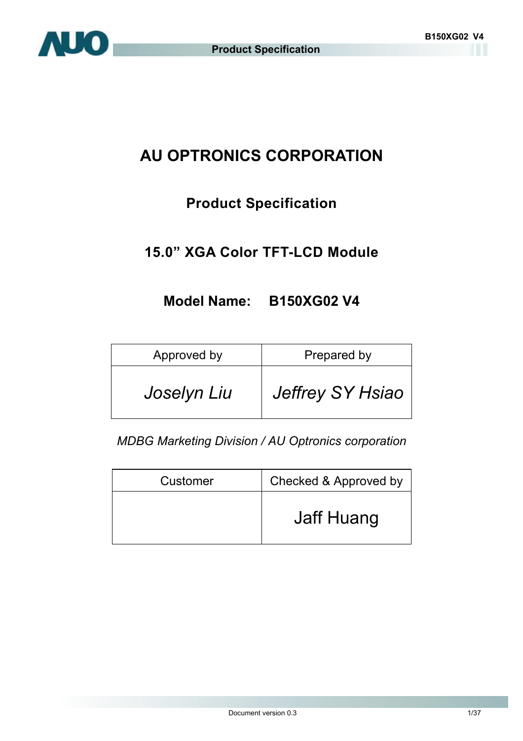

# **AU OPTRONICS CORPORATION**

## **Product Specification**

## **15.0" XGA Color TFT-LCD Module**

## **Model Name: B150XG02 V4**

| Approved by | Prepared by      |
|-------------|------------------|
| Joselyn Liu | Jeffrey SY Hsiao |

*MDBG Marketing Division / AU Optronics corporation* 

| Customer | Checked & Approved by |
|----------|-----------------------|
|          | Jaff Huang            |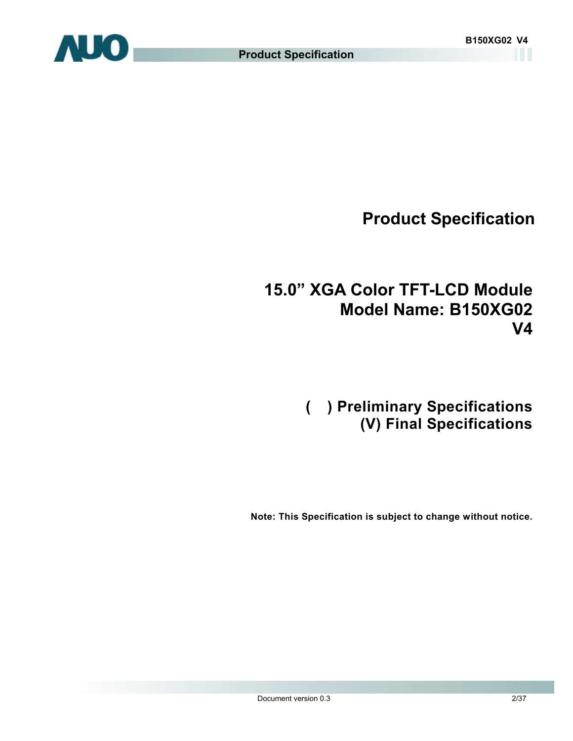

## **15.0" XGA Color TFT-LCD Module Model Name: B150XG02 V4**

## **( ) Preliminary Specifications (V) Final Specifications**

**Note: This Specification is subject to change without notice.**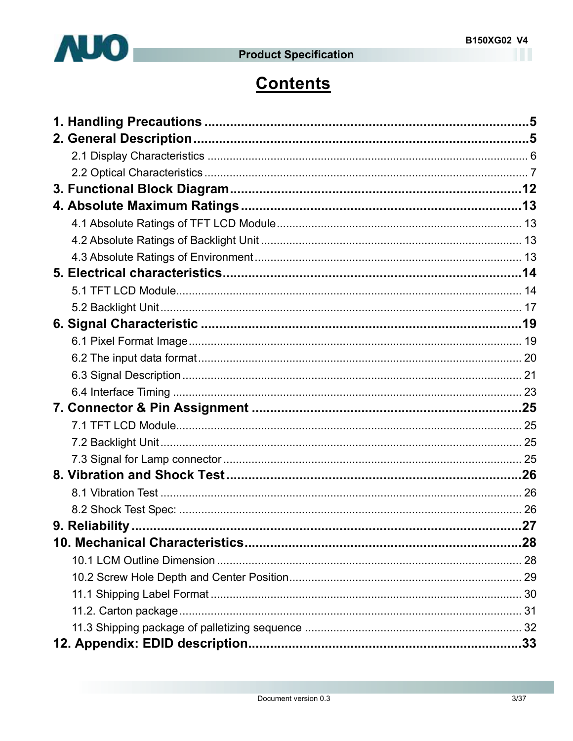

# **Contents**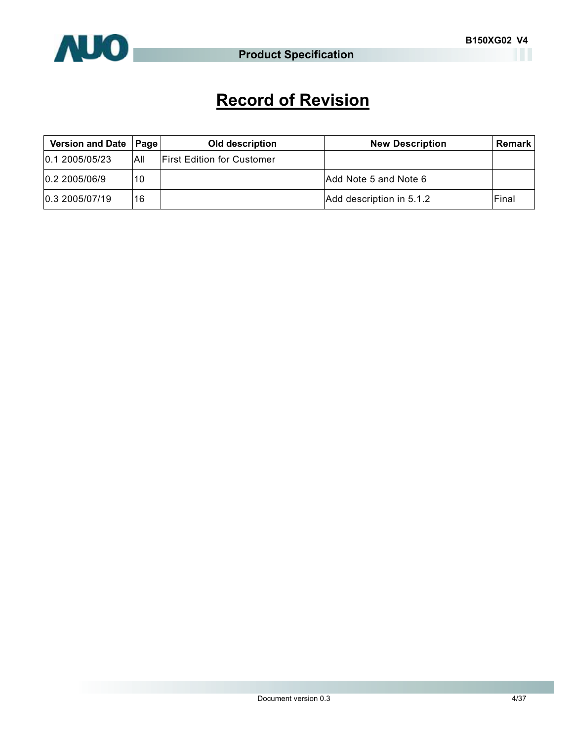

# **Record of Revision**

| Version and Date   Page |     | Old description                   | <b>New Description</b>   | Remark |
|-------------------------|-----|-----------------------------------|--------------------------|--------|
| 0.12005/05/23           | All | <b>First Edition for Customer</b> |                          |        |
| 0.2 2005/06/9           | 10  |                                   | Add Note 5 and Note 6    |        |
| 0.3 2005/07/19          | 16  |                                   | Add description in 5.1.2 | Final  |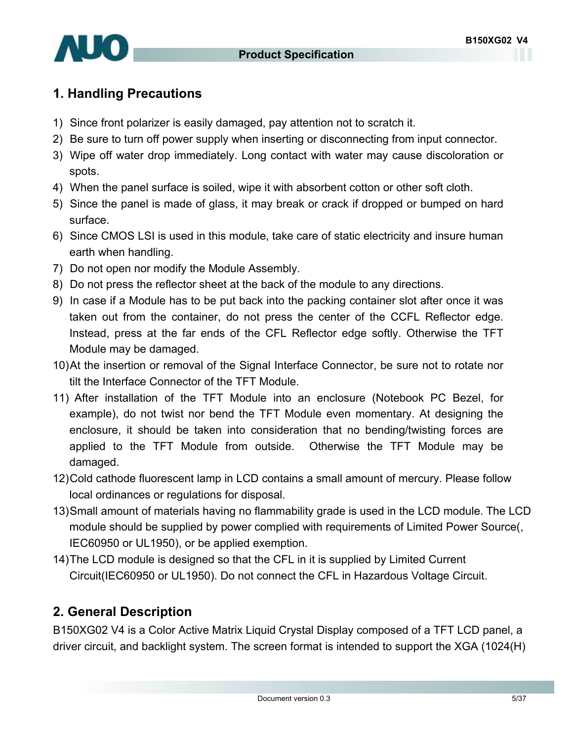

## **1. Handling Precautions**

- 1) Since front polarizer is easily damaged, pay attention not to scratch it.
- 2) Be sure to turn off power supply when inserting or disconnecting from input connector.
- 3) Wipe off water drop immediately. Long contact with water may cause discoloration or spots.
- 4) When the panel surface is soiled, wipe it with absorbent cotton or other soft cloth.
- 5) Since the panel is made of glass, it may break or crack if dropped or bumped on hard surface.
- 6) Since CMOS LSI is used in this module, take care of static electricity and insure human earth when handling.
- 7) Do not open nor modify the Module Assembly.
- 8) Do not press the reflector sheet at the back of the module to any directions.
- 9) In case if a Module has to be put back into the packing container slot after once it was taken out from the container, do not press the center of the CCFL Reflector edge. Instead, press at the far ends of the CFL Reflector edge softly. Otherwise the TFT Module may be damaged.
- 10) At the insertion or removal of the Signal Interface Connector, be sure not to rotate nor tilt the Interface Connector of the TFT Module.
- 11) After installation of the TFT Module into an enclosure (Notebook PC Bezel, for example), do not twist nor bend the TFT Module even momentary. At designing the enclosure, it should be taken into consideration that no bending/twisting forces are applied to the TFT Module from outside. Otherwise the TFT Module may be damaged.
- 12) Cold cathode fluorescent lamp in LCD contains a small amount of mercury. Please follow local ordinances or regulations for disposal.
- 13) Small amount of materials having no flammability grade is used in the LCD module. The LCD module should be supplied by power complied with requirements of Limited Power Source(, IEC60950 or UL1950), or be applied exemption.
- 14) The LCD module is designed so that the CFL in it is supplied by Limited Current Circuit(IEC60950 or UL1950). Do not connect the CFL in Hazardous Voltage Circuit.

## **2. General Description**

B150XG02 V4 is a Color Active Matrix Liquid Crystal Display composed of a TFT LCD panel, a driver circuit, and backlight system. The screen format is intended to support the XGA (1024(H)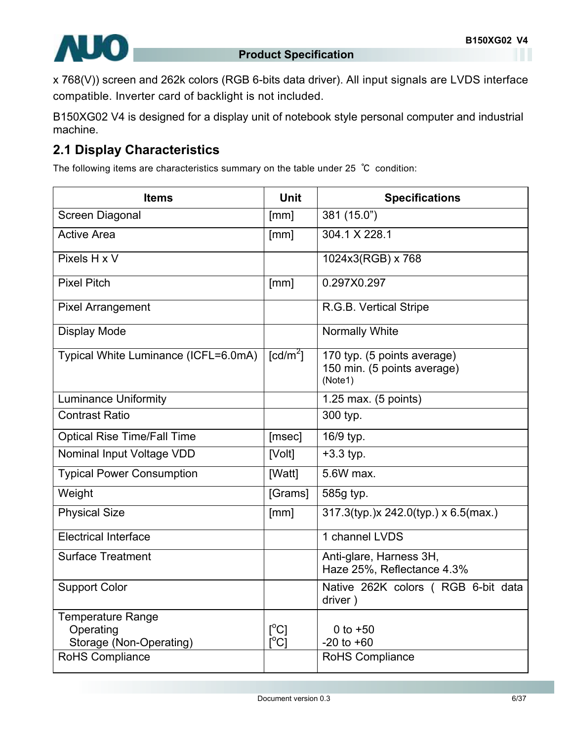

x 768(V)) screen and 262k colors (RGB 6-bits data driver). All input signals are LVDS interface compatible. Inverter card of backlight is not included.

B150XG02 V4 is designed for a display unit of notebook style personal computer and industrial machine.

## **2.1 Display Characteristics**

The following items are characteristics summary on the table under 25 ℃ condition:

| <b>Items</b>                                              | <b>Unit</b>                                   | <b>Specifications</b>                                                 |
|-----------------------------------------------------------|-----------------------------------------------|-----------------------------------------------------------------------|
| Screen Diagonal                                           | [mm]                                          | 381 (15.0")                                                           |
| <b>Active Area</b>                                        | [mm]                                          | 304.1 X 228.1                                                         |
| Pixels H x V                                              |                                               | 1024x3(RGB) x 768                                                     |
| <b>Pixel Pitch</b>                                        | [mm]                                          | 0.297X0.297                                                           |
| <b>Pixel Arrangement</b>                                  |                                               | R.G.B. Vertical Stripe                                                |
| <b>Display Mode</b>                                       |                                               | <b>Normally White</b>                                                 |
| Typical White Luminance (ICFL=6.0mA)                      | $\text{[cd/m}^2$ ]                            | 170 typ. (5 points average)<br>150 min. (5 points average)<br>(Note1) |
| <b>Luminance Uniformity</b>                               |                                               | 1.25 max. (5 points)                                                  |
| <b>Contrast Ratio</b>                                     |                                               | 300 typ.                                                              |
| <b>Optical Rise Time/Fall Time</b>                        | [msec]                                        | 16/9 typ.                                                             |
| Nominal Input Voltage VDD                                 | [Volt]                                        | $+3.3$ typ.                                                           |
| <b>Typical Power Consumption</b>                          | [Watt]                                        | 5.6W max.                                                             |
| Weight                                                    | [Grams]                                       | 585g typ.                                                             |
| <b>Physical Size</b>                                      | [mm]                                          | 317.3(typ.)x 242.0(typ.) x 6.5(max.)                                  |
| <b>Electrical Interface</b>                               |                                               | 1 channel LVDS                                                        |
| <b>Surface Treatment</b>                                  |                                               | Anti-glare, Harness 3H,<br>Haze 25%, Reflectance 4.3%                 |
| <b>Support Color</b>                                      |                                               | Native 262K colors (RGB 6-bit data<br>driver)                         |
| Temperature Range<br>Operating<br>Storage (Non-Operating) | $\Gamma^{\circ}$ Cl<br>$\overline{C}^{\circ}$ | 0 to $+50$<br>$-20$ to $+60$                                          |
| RoHS Compliance                                           |                                               | <b>RoHS Compliance</b>                                                |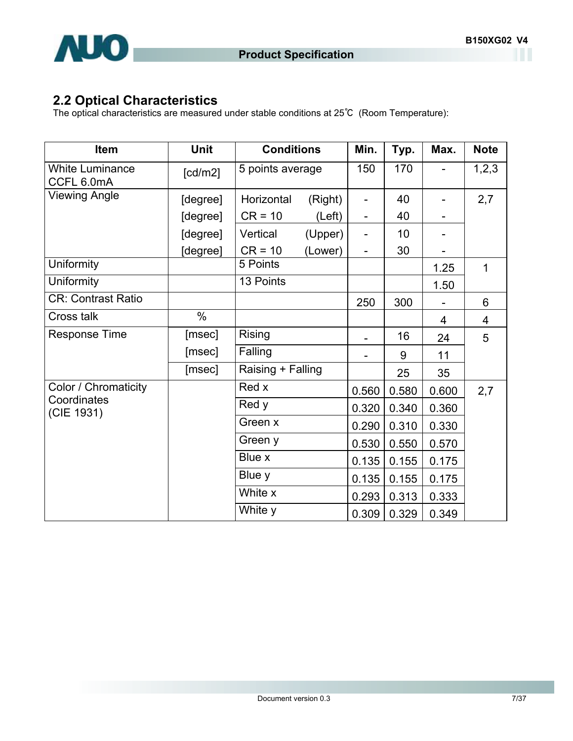

## **2.2 Optical Characteristics**

The optical characteristics are measured under stable conditions at 25℃ (Room Temperature):

| Item                                 | Unit     | <b>Conditions</b>     | Min.                     | Typ.  | Max.  | <b>Note</b>    |
|--------------------------------------|----------|-----------------------|--------------------------|-------|-------|----------------|
| <b>White Luminance</b><br>CCFL 6.0mA | [cd/m2]  | 5 points average      | 150                      | 170   |       | 1,2,3          |
| <b>Viewing Angle</b>                 | [degree] | Horizontal<br>(Right) |                          | 40    |       | 2,7            |
|                                      | [degree] | $CR = 10$<br>(Left)   |                          | 40    |       |                |
|                                      | [degree] | Vertical<br>(Upper)   |                          | 10    |       |                |
|                                      | [degree] | $CR = 10$<br>(Lower)  | $\overline{\phantom{0}}$ | 30    |       |                |
| Uniformity                           |          | 5 Points              |                          |       | 1.25  | 1              |
| Uniformity                           |          | 13 Points             |                          |       | 1.50  |                |
| <b>CR: Contrast Ratio</b>            |          |                       | 250                      | 300   |       | 6              |
| Cross talk                           | %        |                       |                          |       | 4     | $\overline{4}$ |
| <b>Response Time</b>                 | [msec]   | <b>Rising</b>         |                          | 16    | 24    | 5              |
|                                      | [msec]   | Falling               |                          | 9     | 11    |                |
|                                      | [msec]   | Raising + Falling     |                          | 25    | 35    |                |
| Color / Chromaticity                 |          | Red x                 | 0.560                    | 0.580 | 0.600 | 2,7            |
| Coordinates<br>(CIE 1931)            |          | Red y                 | 0.320                    | 0.340 | 0.360 |                |
|                                      |          | Green x               | 0.290                    | 0.310 | 0.330 |                |
|                                      |          | Green y               | 0.530                    | 0.550 | 0.570 |                |
|                                      |          | Blue x                | 0.135                    | 0.155 | 0.175 |                |
|                                      |          | Blue y                | 0.135                    | 0.155 | 0.175 |                |
|                                      |          | White x               | 0.293                    | 0.313 | 0.333 |                |
|                                      |          | White y               | 0.309                    | 0.329 | 0.349 |                |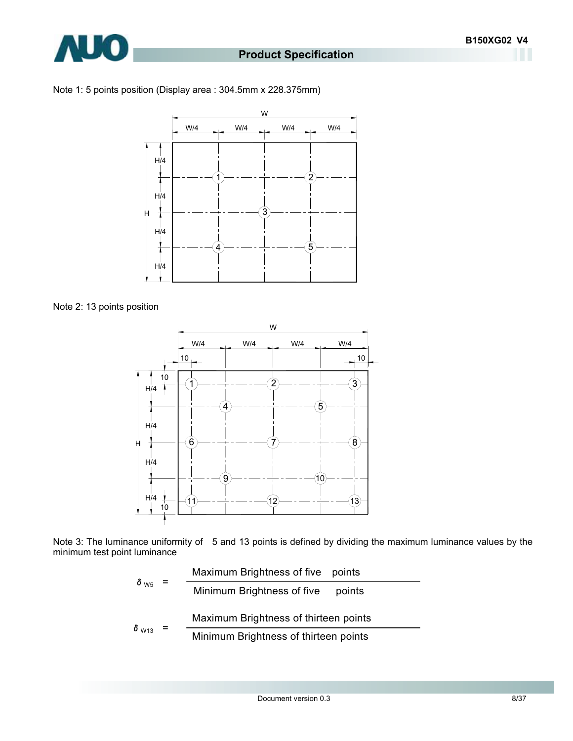





Note 2: 13 points position



Note 3: The luminance uniformity of 5 and 13 points is defined by dividing the maximum luminance values by the minimum test point luminance

$$
\delta_{\text{W5}} = \frac{\text{Maximum brightness of five points}}{\text{Minimum brightness of five points}}
$$
\n
$$
\delta_{\text{W13}} = \frac{\text{Maximum brightness of thirteen points}}{\text{Minimum brightness of thirteen points}}
$$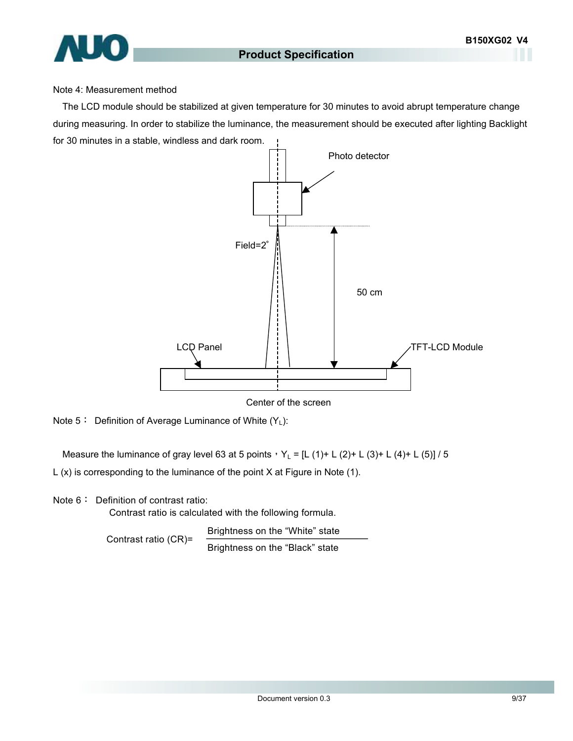#### Note 4: Measurement method

The LCD module should be stabilized at given temperature for 30 minutes to avoid abrupt temperature change during measuring. In order to stabilize the luminance, the measurement should be executed after lighting Backlight for 30 minutes in a stable, windless and dark room.



Center of the screen

Measure the luminance of gray level 63 at 5 points,  $Y_L = [L (1) + L (2) + L (3) + L (4) + L (5)] / 5$ 

L (x) is corresponding to the luminance of the point X at Figure in Note (1).

Note 6: Definition of contrast ratio:

Contrast ratio is calculated with the following formula.

Brightness on the "White" state Contrast ratio (CR)= Brightness on the "Black" state

Note  $5:$  Definition of Average Luminance of White  $(Y_L)$ :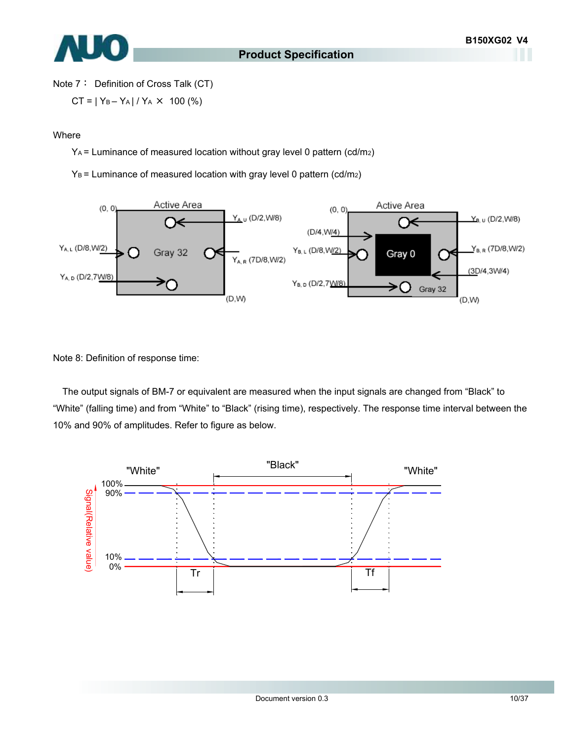

Note 7: Definition of Cross Talk (CT)

$$
CT = |Y_B - Y_A| / Y_A \times 100\ (%)
$$

#### Where

YA = Luminance of measured location without gray level 0 pattern (cd/m2)

 $Y_B$  = Luminance of measured location with gray level 0 pattern (cd/m2)



Note 8: Definition of response time:

The output signals of BM-7 or equivalent are measured when the input signals are changed from "Black" to "White" (falling time) and from "White" to "Black" (rising time), respectively. The response time interval between the 10% and 90% of amplitudes. Refer to figure as below.

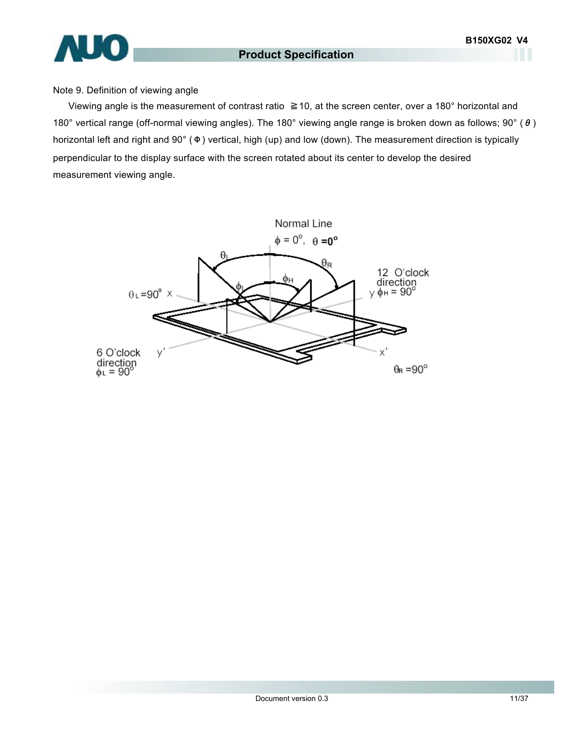# **AUO**

#### **Product Specification**

#### Note 9. Definition of viewing angle

Viewing angle is the measurement of contrast ratio ≧10, at the screen center, over a 180° horizontal and 180° vertical range (off-normal viewing angles). The 180° viewing angle range is broken down as follows; 90° (θ) horizontal left and right and 90° (Φ) vertical, high (up) and low (down). The measurement direction is typically perpendicular to the display surface with the screen rotated about its center to develop the desired measurement viewing angle.

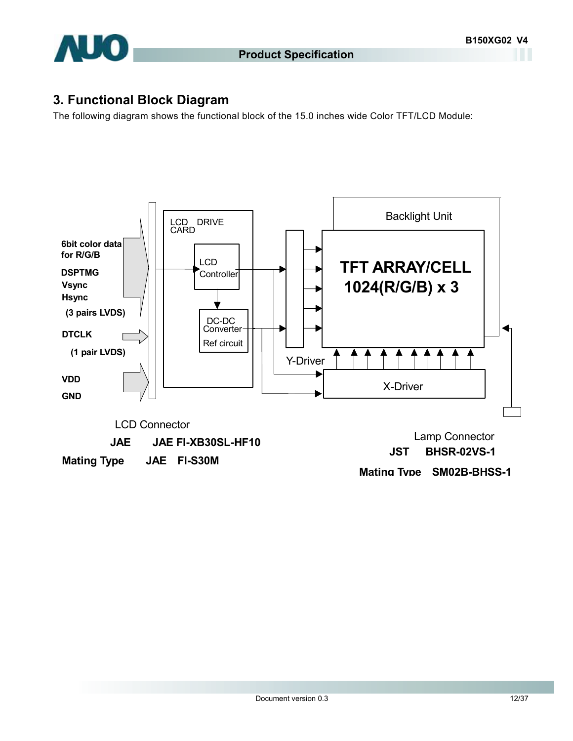

### **3. Functional Block Diagram**

The following diagram shows the functional block of the 15.0 inches wide Color TFT/LCD Module:

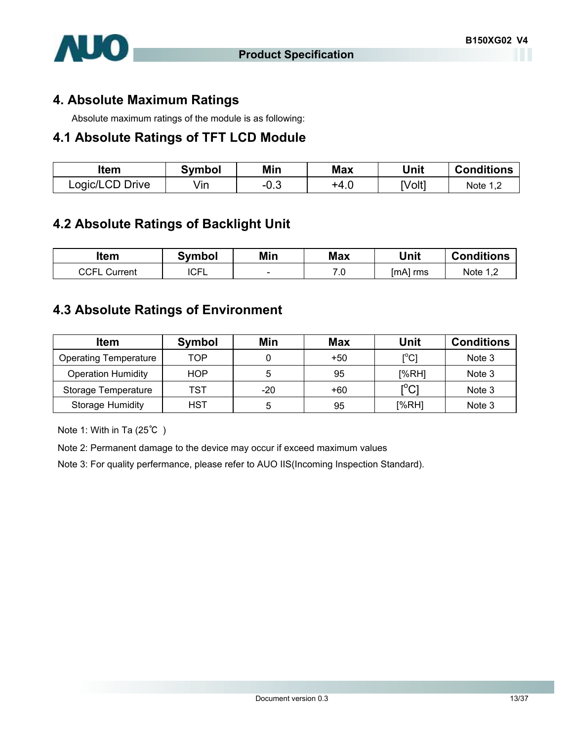

#### **4. Absolute Maximum Ratings**

Absolute maximum ratings of the module is as following:

#### **4.1 Absolute Ratings of TFT LCD Module**

| ltem            | <b>Symbol</b> | Min    | Max  | Unit   | <b>Conditions</b> |
|-----------------|---------------|--------|------|--------|-------------------|
| Logic/LCD Drive | √in           | $-0.3$ | +4.0 | [Volt] | Note 1            |

#### **4.2 Absolute Ratings of Backlight Unit**

| ltem                | Svmbol      | Min                      | <b>Max</b> | Unit       | <b>Conditions</b> |
|---------------------|-------------|--------------------------|------------|------------|-------------------|
| <b>CCFL Current</b> | <b>ICFL</b> | $\overline{\phantom{a}}$ | 7.0        | $[mA]$ rms | Note 1, $\angle$  |

#### **4.3 Absolute Ratings of Environment**

| <b>Item</b>                  | <b>Symbol</b> | Min   | <b>Max</b> | Unit                                    | <b>Conditions</b> |
|------------------------------|---------------|-------|------------|-----------------------------------------|-------------------|
| <b>Operating Temperature</b> | TOP           |       | $+50$      | $\mathsf{I}^\circ\mathsf{C} \mathsf{I}$ | Note 3            |
| <b>Operation Humidity</b>    | <b>HOP</b>    | 5     | 95         | [%RH]                                   | Note 3            |
| Storage Temperature          | TST           | $-20$ | +60        | $\mathsf{I}^\circ\mathsf{C}1$           | Note 3            |
| Storage Humidity             | <b>HST</b>    | 5     | 95         | [%RH]                                   | Note 3            |

Note 1: With in Ta (25℃ )

Note 2: Permanent damage to the device may occur if exceed maximum values

Note 3: For quality perfermance, please refer to AUO IIS(Incoming Inspection Standard).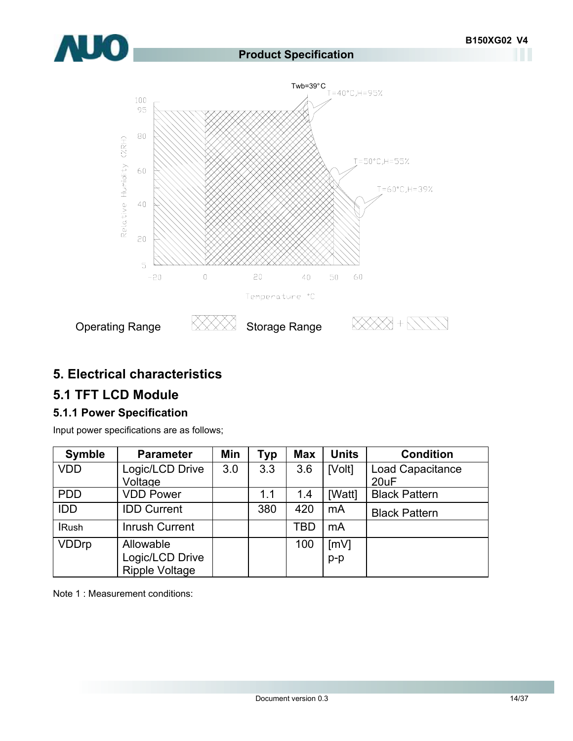

#### **5. Electrical characteristics**

## **5.1 TFT LCD Module**

#### **5.1.1 Power Specification**

Input power specifications are as follows;

| <b>Symble</b> | <b>Parameter</b>      | Min | Typ | <b>Max</b> | <b>Units</b> | <b>Condition</b>        |
|---------------|-----------------------|-----|-----|------------|--------------|-------------------------|
| <b>VDD</b>    | Logic/LCD Drive       | 3.0 | 3.3 | 3.6        | [Volt]       | <b>Load Capacitance</b> |
|               | Voltage               |     |     |            |              | 20uF                    |
| <b>PDD</b>    | <b>VDD Power</b>      |     | 1.1 | 1.4        | [Watt]       | <b>Black Pattern</b>    |
| <b>IDD</b>    | <b>IDD Current</b>    |     | 380 | 420        | mA           | <b>Black Pattern</b>    |
| <b>IRush</b>  | <b>Inrush Current</b> |     |     | TBD        | mA           |                         |
| <b>VDDrp</b>  | Allowable             |     |     | 100        | [mV]         |                         |
|               | Logic/LCD Drive       |     |     |            | $p-p$        |                         |
|               | <b>Ripple Voltage</b> |     |     |            |              |                         |

Note 1 : Measurement conditions: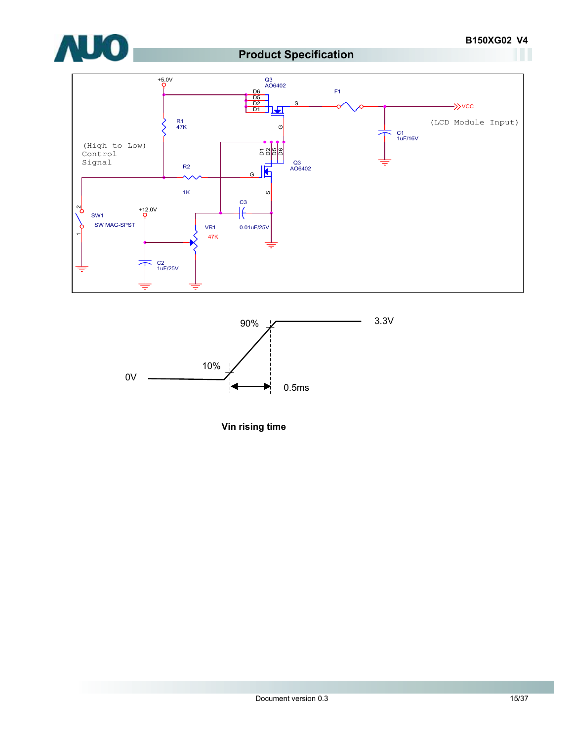





**Vin rising time**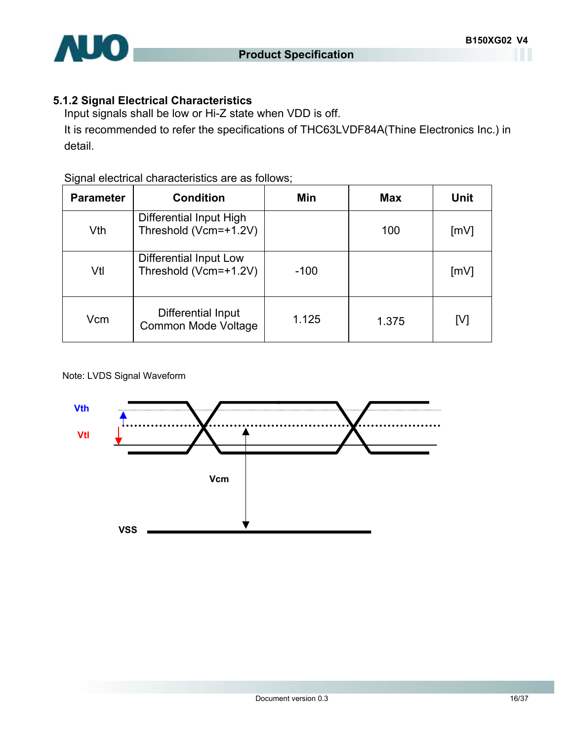

## **5.1.2 Signal Electrical Characteristics**

Input signals shall be low or Hi-Z state when VDD is off.

It is recommended to refer the specifications of THC63LVDF84A(Thine Electronics Inc.) in detail.

#### Signal electrical characteristics are as follows;

| <b>Parameter</b> | <b>Condition</b>                                 | Min    | <b>Max</b> | Unit |
|------------------|--------------------------------------------------|--------|------------|------|
| Vth              | Differential Input High<br>Threshold (Vcm=+1.2V) |        | 100        | [mV] |
| Vtl              | Differential Input Low<br>Threshold (Vcm=+1.2V)  | $-100$ |            | [mV] |
| Vcm              | Differential Input<br>Common Mode Voltage        | 1.125  | 1.375      | [V]  |

Note: LVDS Signal Waveform

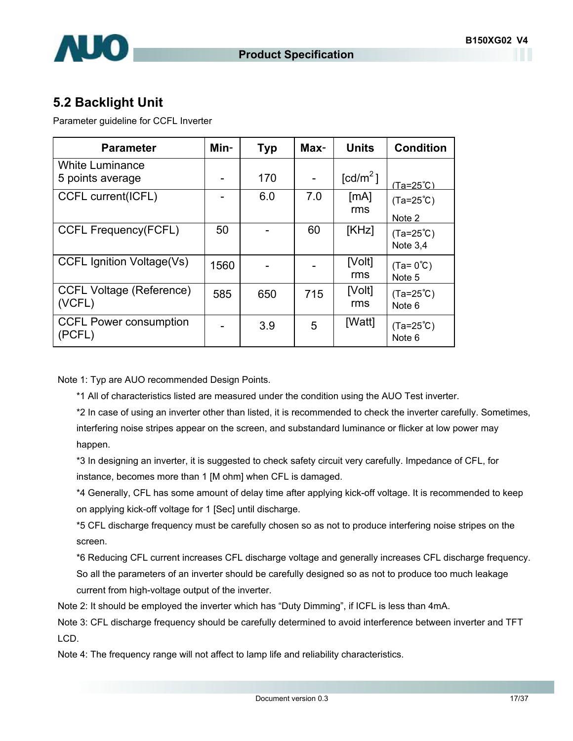

## **5.2 Backlight Unit**

Parameter guideline for CCFL Inverter

| <b>Parameter</b>                 | Min- | <b>Typ</b> | Max- | <b>Units</b>         | <b>Condition</b>    |
|----------------------------------|------|------------|------|----------------------|---------------------|
| <b>White Luminance</b>           |      |            |      |                      |                     |
| 5 points average                 |      | 170        |      | [cd/m <sup>2</sup> ] | $(Ta=25^{\circ}C)$  |
| CCFL current(ICFL)               |      | 6.0        | 7.0  | [MA]                 | $(Ta=25^{\circ}C)$  |
|                                  |      |            |      | rms                  | Note 2              |
| <b>CCFL Frequency(FCFL)</b>      | 50   |            | 60   | [KHz]                | $(Ta=25^{\circ}C)$  |
|                                  |      |            |      |                      | Note $3,4$          |
| <b>CCFL Ignition Voltage(Vs)</b> | 1560 |            |      | [Volt]               | $(Ta = 0^{\circ}C)$ |
|                                  |      |            |      | rms                  | Note 5              |
| <b>CCFL Voltage (Reference)</b>  | 585  | 650        | 715  | [Volt]               | $(Ta=25^{\circ}C)$  |
| (VCFL)                           |      |            |      | rms                  | Note 6              |
| <b>CCFL Power consumption</b>    |      | 3.9        | 5    | [Watt]               | $(Ta=25^{\circ}C)$  |
| (PCFL)                           |      |            |      |                      | Note 6              |

Note 1: Typ are AUO recommended Design Points.

\*1 All of characteristics listed are measured under the condition using the AUO Test inverter.

\*2 In case of using an inverter other than listed, it is recommended to check the inverter carefully. Sometimes, interfering noise stripes appear on the screen, and substandard luminance or flicker at low power may happen.

\*3 In designing an inverter, it is suggested to check safety circuit very carefully. Impedance of CFL, for instance, becomes more than 1 [M ohm] when CFL is damaged.

\*4 Generally, CFL has some amount of delay time after applying kick-off voltage. It is recommended to keep on applying kick-off voltage for 1 [Sec] until discharge.

\*5 CFL discharge frequency must be carefully chosen so as not to produce interfering noise stripes on the screen.

\*6 Reducing CFL current increases CFL discharge voltage and generally increases CFL discharge frequency. So all the parameters of an inverter should be carefully designed so as not to produce too much leakage current from high-voltage output of the inverter.

Note 2: It should be employed the inverter which has "Duty Dimming", if ICFL is less than 4mA.

Note 3: CFL discharge frequency should be carefully determined to avoid interference between inverter and TFT LCD.

Note 4: The frequency range will not affect to lamp life and reliability characteristics.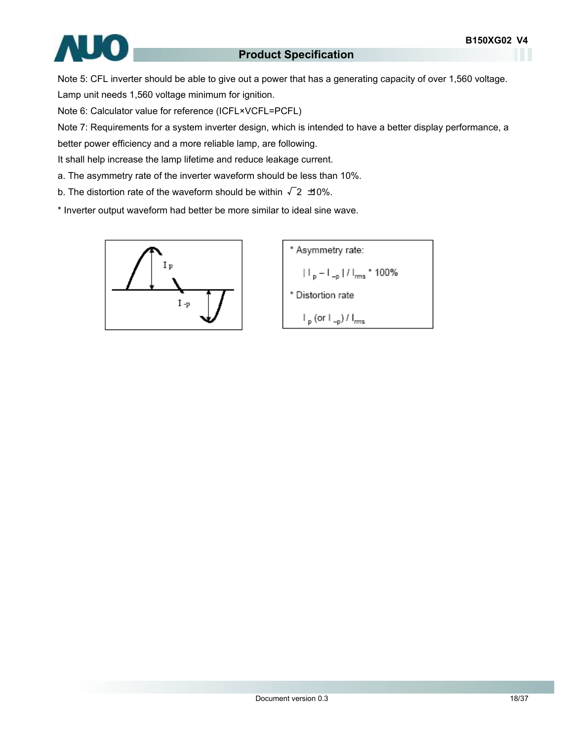

Note 5: CFL inverter should be able to give out a power that has a generating capacity of over 1,560 voltage. Lamp unit needs 1,560 voltage minimum for ignition.

Note 6: Calculator value for reference (ICFL×VCFL=PCFL)

Note 7: Requirements for a system inverter design, which is intended to have a better display performance, a

better power efficiency and a more reliable lamp, are following.

It shall help increase the lamp lifetime and reduce leakage current.

a. The asymmetry rate of the inverter waveform should be less than 10%.

b. The distortion rate of the waveform should be within  $\sqrt{2}$   $\pm$ 0%.

\* Inverter output waveform had better be more similar to ideal sine wave.



\* Asymmetry rate:  
\n
$$
|I_{p} - I_{-p}| / I_{rms} * 100\%
$$
\n\* Distortion rate  
\n
$$
I_{p} (or I_{-p}) / I_{rms}
$$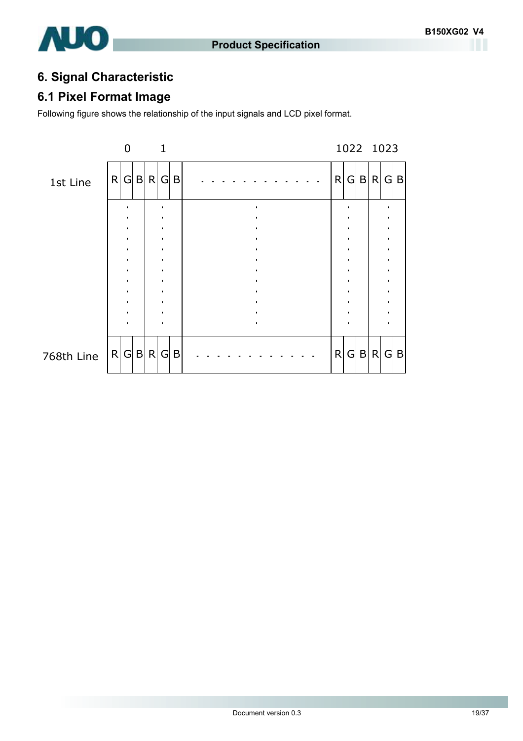

## **6. Signal Characteristic**

## **6.1 Pixel Format Image**

Following figure shows the relationship of the input signals and LCD pixel format.

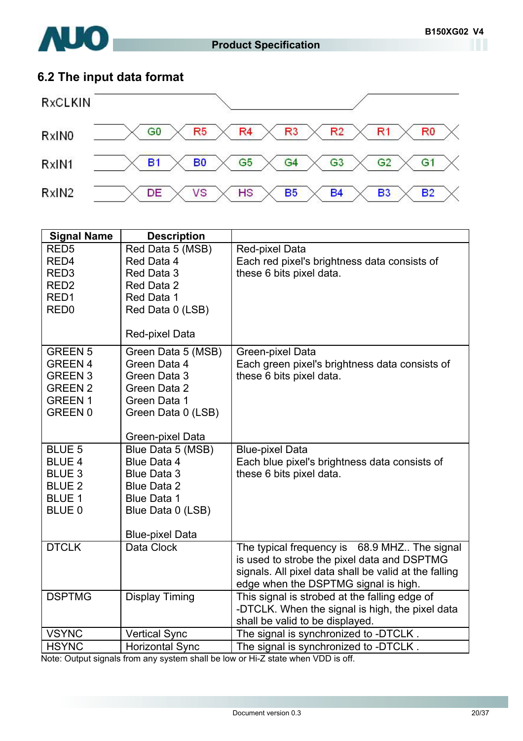

## **6.2 The input data format**



| <b>Signal Name</b>              | <b>Description</b>             |                                                                |
|---------------------------------|--------------------------------|----------------------------------------------------------------|
| RED <sub>5</sub><br>RED4        | Red Data 5 (MSB)<br>Red Data 4 | Red-pixel Data<br>Each red pixel's brightness data consists of |
| RED <sub>3</sub>                | Red Data 3                     | these 6 bits pixel data.                                       |
| RED <sub>2</sub>                | Red Data 2                     |                                                                |
| RED1                            | Red Data 1                     |                                                                |
| RED <sub>0</sub>                | Red Data 0 (LSB)               |                                                                |
|                                 |                                |                                                                |
|                                 | Red-pixel Data                 |                                                                |
| <b>GREEN 5</b>                  | Green Data 5 (MSB)             | Green-pixel Data                                               |
| <b>GREEN 4</b>                  | Green Data 4                   | Each green pixel's brightness data consists of                 |
| <b>GREEN 3</b>                  | Green Data 3                   | these 6 bits pixel data.                                       |
| <b>GREEN 2</b>                  | Green Data 2                   |                                                                |
| <b>GREEN1</b><br><b>GREEN 0</b> | Green Data 1                   |                                                                |
|                                 | Green Data 0 (LSB)             |                                                                |
|                                 | Green-pixel Data               |                                                                |
| <b>BLUE 5</b>                   | Blue Data 5 (MSB)              | <b>Blue-pixel Data</b>                                         |
| <b>BLUE 4</b>                   | Blue Data 4                    | Each blue pixel's brightness data consists of                  |
| <b>BLUE 3</b>                   | <b>Blue Data 3</b>             | these 6 bits pixel data.                                       |
| <b>BLUE 2</b>                   | <b>Blue Data 2</b>             |                                                                |
| <b>BLUE 1</b>                   | <b>Blue Data 1</b>             |                                                                |
| BLUE 0                          | Blue Data 0 (LSB)              |                                                                |
|                                 | <b>Blue-pixel Data</b>         |                                                                |
| <b>DTCLK</b>                    | Data Clock                     | The typical frequency is 68.9 MHZ The signal                   |
|                                 |                                | is used to strobe the pixel data and DSPTMG                    |
|                                 |                                | signals. All pixel data shall be valid at the falling          |
|                                 |                                | edge when the DSPTMG signal is high.                           |
| <b>DSPTMG</b>                   | <b>Display Timing</b>          | This signal is strobed at the falling edge of                  |
|                                 |                                | -DTCLK. When the signal is high, the pixel data                |
|                                 |                                | shall be valid to be displayed.                                |
| <b>VSYNC</b>                    | <b>Vertical Sync</b>           | The signal is synchronized to -DTCLK.                          |
| <b>HSYNC</b>                    | <b>Horizontal Sync</b>         | The signal is synchronized to -DTCLK.                          |

Note: Output signals from any system shall be low or Hi-Z state when VDD is off.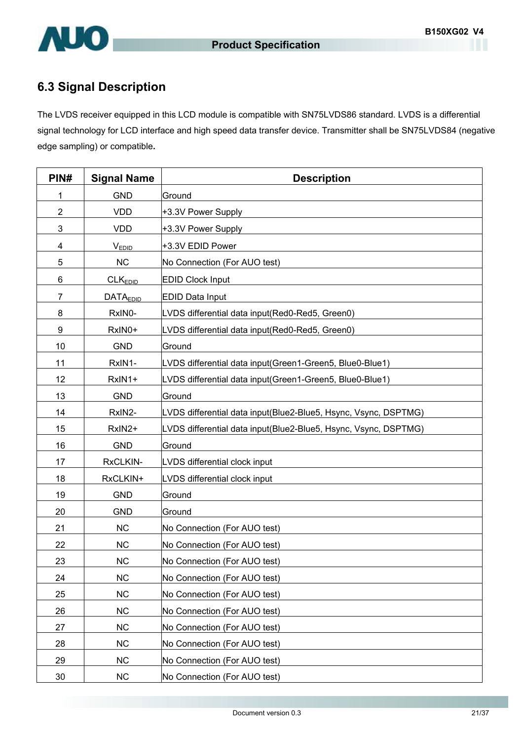

## **6.3 Signal Description**

The LVDS receiver equipped in this LCD module is compatible with SN75LVDS86 standard. LVDS is a differential signal technology for LCD interface and high speed data transfer device. Transmitter shall be SN75LVDS84 (negative edge sampling) or compatible**.** 

| PIN#           | <b>Signal Name</b>  | <b>Description</b>                                              |
|----------------|---------------------|-----------------------------------------------------------------|
| 1              | <b>GND</b>          | Ground                                                          |
| $\overline{2}$ | <b>VDD</b>          | +3.3V Power Supply                                              |
| 3              | <b>VDD</b>          | +3.3V Power Supply                                              |
| 4              | <b>VEDID</b>        | +3.3V EDID Power                                                |
| 5              | <b>NC</b>           | No Connection (For AUO test)                                    |
| 6              | CLK <sub>EDID</sub> | <b>EDID Clock Input</b>                                         |
| $\overline{7}$ | <b>DATAEDID</b>     | <b>EDID Data Input</b>                                          |
| 8              | RxIN0-              | LVDS differential data input(Red0-Red5, Green0)                 |
| 9              | RxIN0+              | LVDS differential data input(Red0-Red5, Green0)                 |
| 10             | <b>GND</b>          | Ground                                                          |
| 11             | RxIN1-              | LVDS differential data input (Green1-Green5, Blue0-Blue1)       |
| 12             | RxIN1+              | LVDS differential data input (Green1-Green5, Blue0-Blue1)       |
| 13             | <b>GND</b>          | Ground                                                          |
| 14             | RxIN2-              | LVDS differential data input(Blue2-Blue5, Hsync, Vsync, DSPTMG) |
| 15             | RxIN2+              | LVDS differential data input(Blue2-Blue5, Hsync, Vsync, DSPTMG) |
| 16             | <b>GND</b>          | Ground                                                          |
| 17             | RxCLKIN-            | LVDS differential clock input                                   |
| 18             | RxCLKIN+            | LVDS differential clock input                                   |
| 19             | <b>GND</b>          | Ground                                                          |
| 20             | <b>GND</b>          | Ground                                                          |
| 21             | <b>NC</b>           | No Connection (For AUO test)                                    |
| 22             | <b>NC</b>           | No Connection (For AUO test)                                    |
| 23             | <b>NC</b>           | No Connection (For AUO test)                                    |
| 24             | <b>NC</b>           | No Connection (For AUO test)                                    |
| 25             | <b>NC</b>           | No Connection (For AUO test)                                    |
| 26             | <b>NC</b>           | No Connection (For AUO test)                                    |
| 27             | <b>NC</b>           | No Connection (For AUO test)                                    |
| 28             | <b>NC</b>           | No Connection (For AUO test)                                    |
| 29             | <b>NC</b>           | No Connection (For AUO test)                                    |
| 30             | <b>NC</b>           | No Connection (For AUO test)                                    |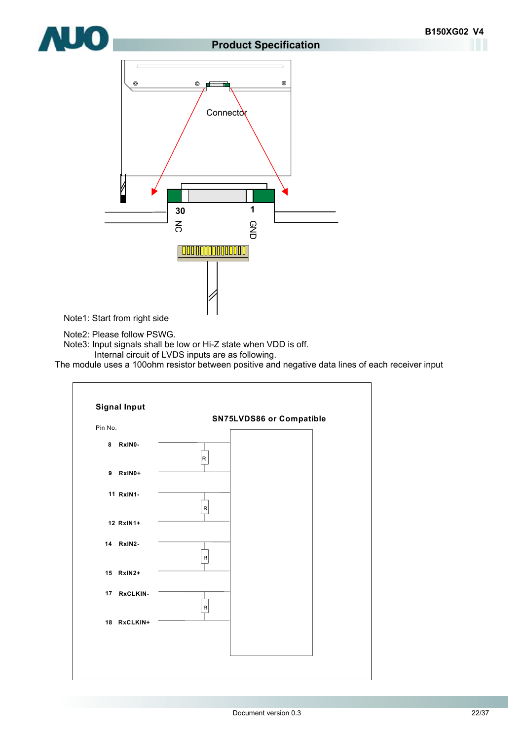

# **AUO**

#### **Product Specification**



Note1: Start from right side

Note2: Please follow PSWG.

Note3: Input signals shall be low or Hi-Z state when VDD is off.

Internal circuit of LVDS inputs are as following.

The module uses a 100ohm resistor between positive and negative data lines of each receiver input

| <b>Signal Input</b> |              | SN75LVDS86 or Compatible |
|---------------------|--------------|--------------------------|
| Pin No.             |              |                          |
| 8<br>RxIN0-         | R            |                          |
| 9 RxIN0+            |              |                          |
| 11 RxIN1-           | $\mathsf{R}$ |                          |
| 12 RxIN1+           |              |                          |
| 14 RxIN2-           | $\mathsf{R}$ |                          |
| 15 RxIN2+           |              |                          |
| 17 RxCLKIN-         | $\mathsf{R}$ |                          |
| 18 RxCLKIN+         |              |                          |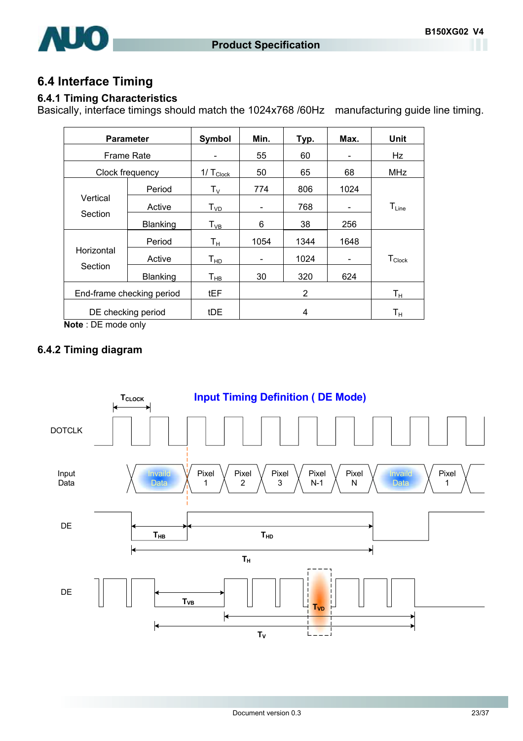

## **6.4 Interface Timing**

#### **6.4.1 Timing Characteristics**

Basically, interface timings should match the 1024x768 /60Hz manufacturing guide line timing.

| <b>Parameter</b>          |          | Symbol                  | Min.                     | Typ. | Max.                         | <b>Unit</b>             |
|---------------------------|----------|-------------------------|--------------------------|------|------------------------------|-------------------------|
| Frame Rate                |          |                         | 55                       | 60   |                              | Hz                      |
| Clock frequency           |          | $1/\top_{\text{Clock}}$ | 50                       | 65   | 68                           | <b>MHz</b>              |
|                           | Period   | Tv                      | 774                      | 806  | 1024                         |                         |
| Vertical                  | Active   | T <sub>VD</sub>         | $\overline{\phantom{a}}$ | 768  | -                            | $T_{Line}$              |
| Section                   | Blanking | $T_{VB}$                | 6                        | 38   | 256                          |                         |
| Horizontal                | Period   | Tн                      | 1054                     | 1344 | 1648                         |                         |
|                           | Active   | T <sub>HD</sub>         | $\overline{\phantom{a}}$ | 1024 | $\qquad \qquad \blacksquare$ | $T_{\text{Clock}}$      |
| Section                   | Blanking | $T_{HB}$                | 30                       | 320  | 624                          |                         |
| End-frame checking period |          | tEF                     |                          | 2    |                              | $\mathsf{T}_\mathsf{H}$ |
| DE checking period        |          | tDE                     |                          | 4    |                              | $\mathsf{T}_\mathsf{H}$ |

**Note** : DE mode only

#### **6.4.2 Timing diagram**

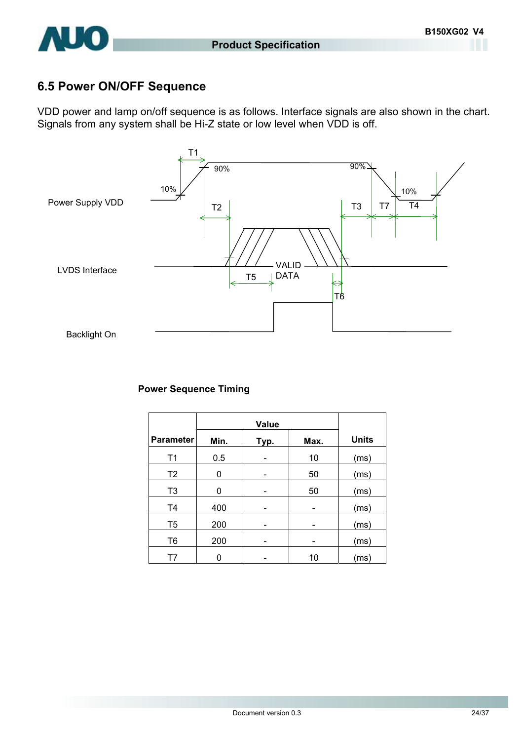

## **6.5 Power ON/OFF Sequence**

VDD power and lamp on/off sequence is as follows. Interface signals are also shown in the chart. Signals from any system shall be Hi-Z state or low level when VDD is off.



#### **Power Sequence Timing**

| <b>Parameter</b> | Min. | Typ. | Max. | <b>Units</b> |
|------------------|------|------|------|--------------|
| T1               | 0.5  |      | 10   | (ms)         |
| T <sub>2</sub>   | 0    |      | 50   | (ms)         |
| T <sub>3</sub>   | 0    |      | 50   | (ms)         |
| T <sub>4</sub>   | 400  |      |      | (ms)         |
| T <sub>5</sub>   | 200  |      |      | (ms)         |
| T <sub>6</sub>   | 200  |      |      | (ms)         |
| T7               |      |      | 10   | (ms)         |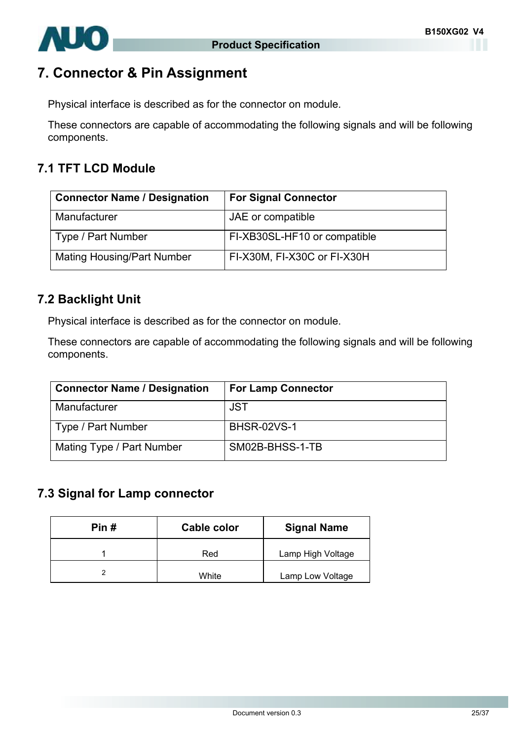

## **7. Connector & Pin Assignment**

Physical interface is described as for the connector on module.

These connectors are capable of accommodating the following signals and will be following components.

## **7.1 TFT LCD Module**

| <b>Connector Name / Designation</b> | <b>For Signal Connector</b>  |
|-------------------------------------|------------------------------|
| Manufacturer                        | JAE or compatible            |
| Type / Part Number                  | FI-XB30SL-HF10 or compatible |
| <b>Mating Housing/Part Number</b>   | FI-X30M, FI-X30C or FI-X30H  |

#### **7.2 Backlight Unit**

Physical interface is described as for the connector on module.

These connectors are capable of accommodating the following signals and will be following components.

| <b>Connector Name / Designation</b> | <b>For Lamp Connector</b> |
|-------------------------------------|---------------------------|
| Manufacturer                        | <b>JST</b>                |
| Type / Part Number                  | <b>BHSR-02VS-1</b>        |
| Mating Type / Part Number           | SM02B-BHSS-1-TB           |

#### **7.3 Signal for Lamp connector**

| Pin# | Cable color | <b>Signal Name</b> |  |
|------|-------------|--------------------|--|
|      | Red         | Lamp High Voltage  |  |
|      | White       | Lamp Low Voltage   |  |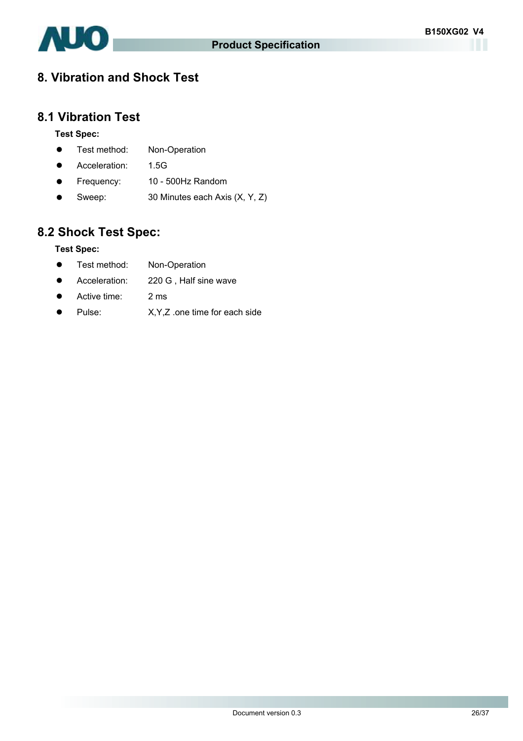

## **8. Vibration and Shock Test**

## **8.1 Vibration Test**

#### **Test Spec:**

- Test method: Non-Operation
- Acceleration: 1.5G
- Frequency: 10 500Hz Random
- Sweep:  $30$  Minutes each Axis  $(X, Y, Z)$

## **8.2 Shock Test Spec:**

#### **Test Spec:**

- Test method: Non-Operation
- Acceleration: 220 G, Half sine wave
- Active time: 2 ms
- Pulse: X, Y, Z .one time for each side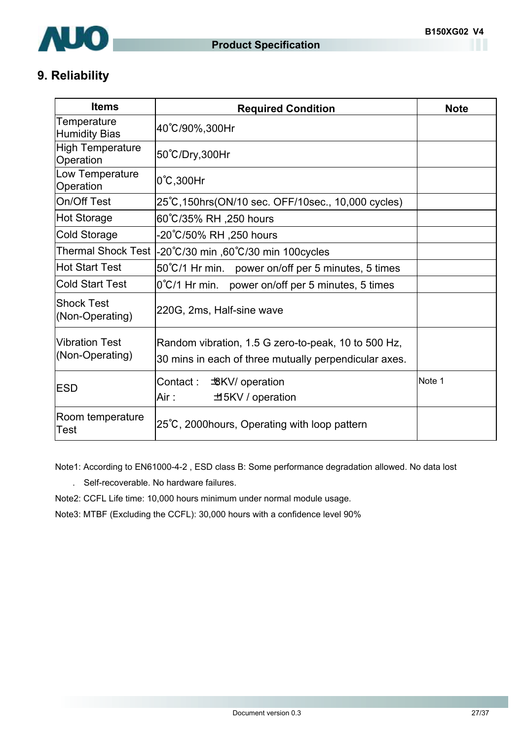

## **9. Reliability**

| <b>Items</b>                             | <b>Required Condition</b>                                                                                    | <b>Note</b> |
|------------------------------------------|--------------------------------------------------------------------------------------------------------------|-------------|
| Temperature<br><b>Humidity Bias</b>      | 40°C/90%,300Hr                                                                                               |             |
| <b>High Temperature</b><br>Operation     | 50°C/Dry,300Hr                                                                                               |             |
| Low Temperature<br>Operation             | $0^{\circ}$ C,300Hr                                                                                          |             |
| On/Off Test                              | 25°C, 150hrs (ON/10 sec. OFF/10sec., 10,000 cycles)                                                          |             |
| <b>Hot Storage</b>                       | 60°C/35% RH ,250 hours                                                                                       |             |
| <b>Cold Storage</b>                      | -20℃/50% RH ,250 hours                                                                                       |             |
| <b>Thermal Shock Test</b>                | -20°C/30 min ,60°C/30 min 100 cycles                                                                         |             |
| <b>Hot Start Test</b>                    | 50°C/1 Hr min. power on/off per 5 minutes, 5 times                                                           |             |
| <b>Cold Start Test</b>                   | $0^{\circ}$ C/1 Hr min. power on/off per 5 minutes, 5 times                                                  |             |
| <b>Shock Test</b><br>(Non-Operating)     | 220G, 2ms, Half-sine wave                                                                                    |             |
| <b>Vibration Test</b><br>(Non-Operating) | Random vibration, 1.5 G zero-to-peak, 10 to 500 Hz,<br>30 mins in each of three mutually perpendicular axes. |             |
| ESD                                      | Contact :<br><b>BKV</b> / operation<br>Air :<br>±15KV / operation                                            | Note 1      |
| Room temperature<br>Test                 | 25°C, 2000 hours, Operating with loop pattern                                                                |             |

Note1: According to EN61000-4-2 , ESD class B: Some performance degradation allowed. No data lost

. Self-recoverable. No hardware failures.

Note2: CCFL Life time: 10,000 hours minimum under normal module usage.

Note3: MTBF (Excluding the CCFL): 30,000 hours with a confidence level 90%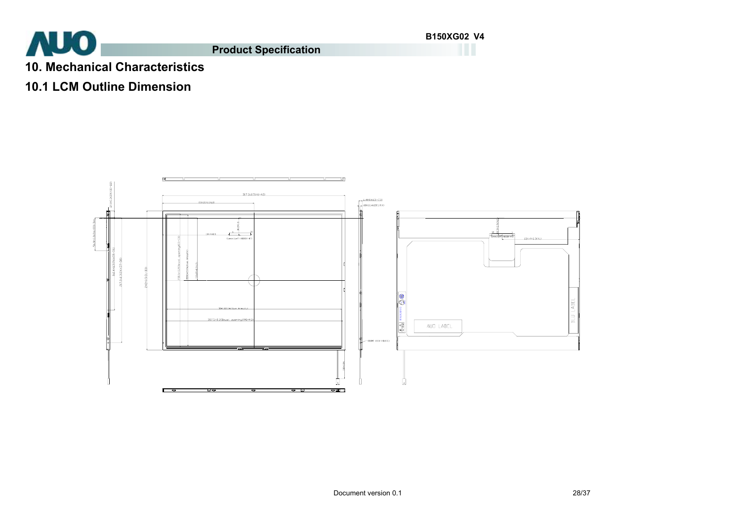**AUO** 

**Product Specification**

**B150XG02 V4**

- **10. Mechanical Characteristics**
- **10.1 LCM Outline Dimension**

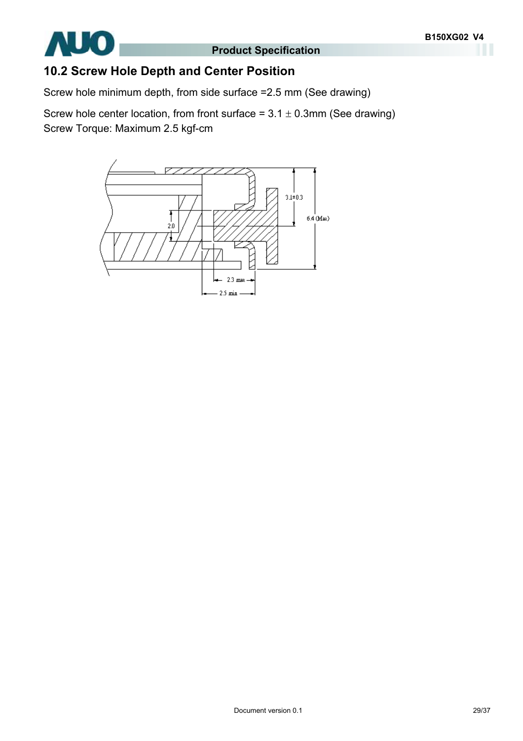

## **10.2 Screw Hole Depth and Center Position**

Screw hole minimum depth, from side surface =2.5 mm (See drawing)

Screw hole center location, from front surface =  $3.1 \pm 0.3$ mm (See drawing) Screw Torque: Maximum 2.5 kgf-cm

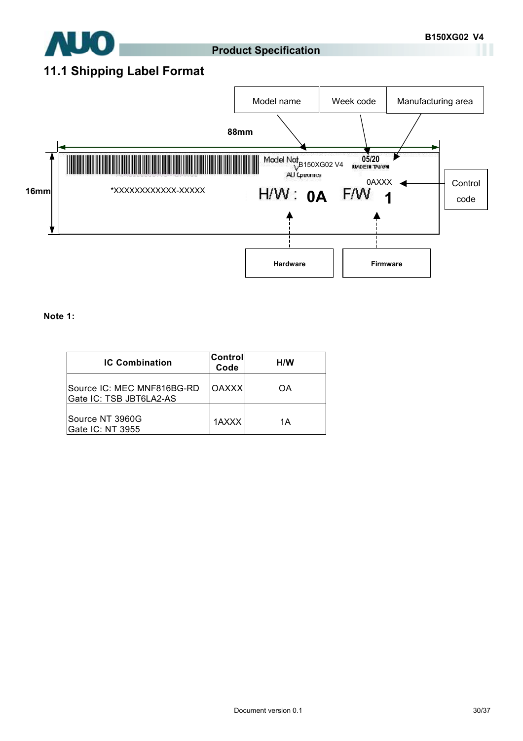

## **11.1 Shipping Label Format**



#### **Note 1:**

| <b>IC Combination</b>                                 | Control<br>Code | H/W |
|-------------------------------------------------------|-----------------|-----|
| Source IC: MEC MNF816BG-RD<br>Gate IC: TSB JBT6LA2-AS | <b>OAXXX</b>    | OΑ  |
| Source NT 3960G<br>Gate IC: NT 3955                   | 1AXXX           | 1Α  |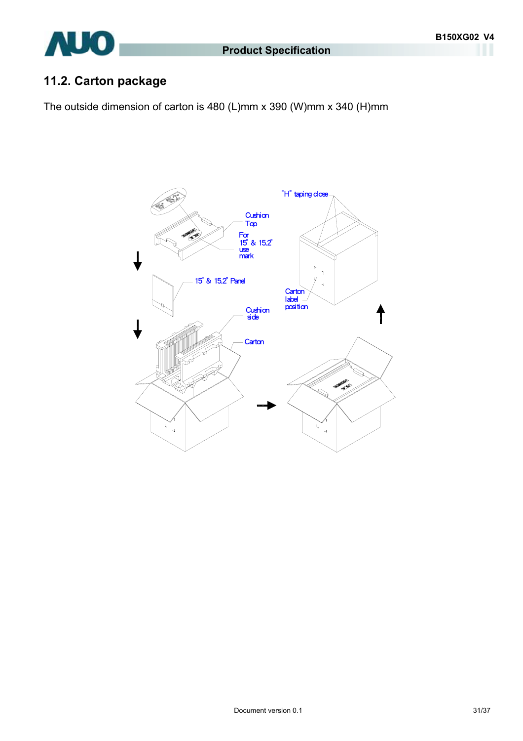

## **11.2. Carton package**

The outside dimension of carton is 480 (L)mm x 390 (W)mm x 340 (H)mm

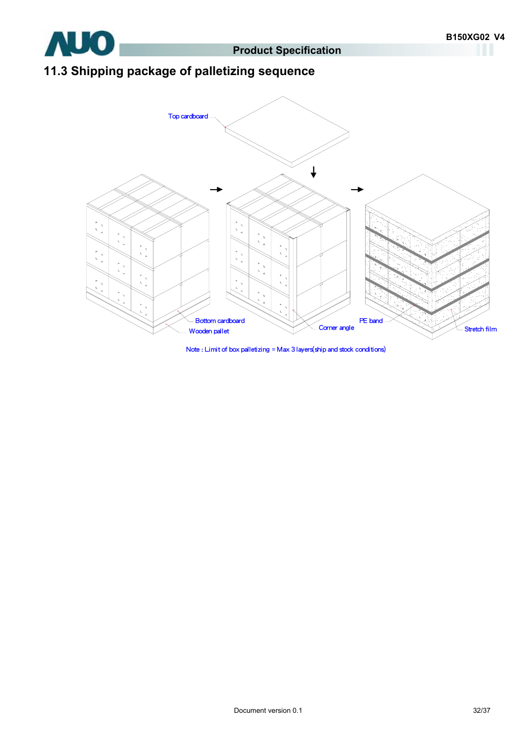

## **11.3 Shipping package of palletizing sequence**



Note : Limit of box palletizing = Max 3 layers(ship and stock conditions)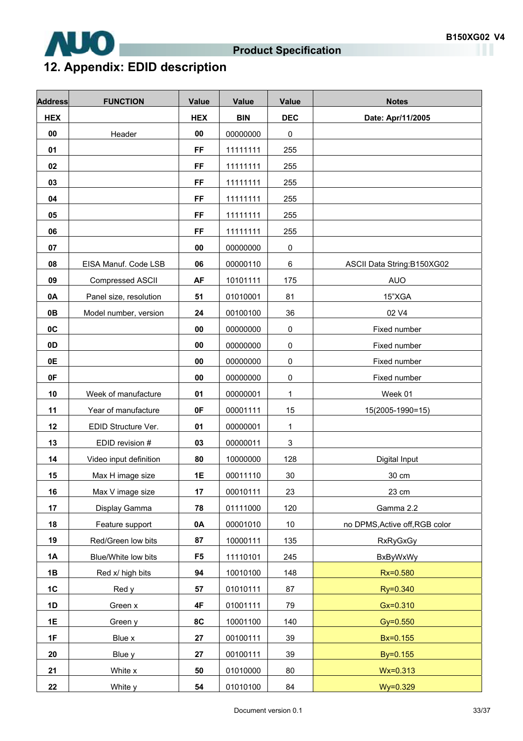

## **12. Appendix: EDID description**

| <b>Address</b> | <b>FUNCTION</b>         | <b>Value</b>   | <b>Value</b> | <b>Value</b> | <b>Notes</b>                   |
|----------------|-------------------------|----------------|--------------|--------------|--------------------------------|
| <b>HEX</b>     |                         | <b>HEX</b>     | <b>BIN</b>   | <b>DEC</b>   | Date: Apr/11/2005              |
| 00             | Header                  | 00             | 00000000     | $\pmb{0}$    |                                |
| 01             |                         | <b>FF</b>      | 11111111     | 255          |                                |
| 02             |                         | <b>FF</b>      | 11111111     | 255          |                                |
| 03             |                         | <b>FF</b>      | 11111111     | 255          |                                |
| 04             |                         | <b>FF</b>      | 11111111     | 255          |                                |
| 05             |                         | <b>FF</b>      | 11111111     | 255          |                                |
| 06             |                         | <b>FF</b>      | 11111111     | 255          |                                |
| 07             |                         | 00             | 00000000     | $\pmb{0}$    |                                |
| 08             | EISA Manuf. Code LSB    | 06             | 00000110     | 6            | ASCII Data String:B150XG02     |
| 09             | <b>Compressed ASCII</b> | AF             | 10101111     | 175          | <b>AUO</b>                     |
| 0A             | Panel size, resolution  | 51             | 01010001     | 81           | 15"XGA                         |
| 0B             | Model number, version   | 24             | 00100100     | 36           | 02 V4                          |
| 0C             |                         | 00             | 00000000     | $\pmb{0}$    | Fixed number                   |
| 0 <sub>D</sub> |                         | 00             | 00000000     | $\pmb{0}$    | Fixed number                   |
| 0E             |                         | 00             | 00000000     | $\pmb{0}$    | Fixed number                   |
| 0F             |                         | 00             | 00000000     | $\pmb{0}$    | Fixed number                   |
| 10             | Week of manufacture     | 01             | 00000001     | 1            | Week 01                        |
| 11             | Year of manufacture     | 0F             | 00001111     | 15           | 15(2005-1990=15)               |
| 12             | EDID Structure Ver.     | 01             | 00000001     | 1            |                                |
| 13             | EDID revision #         | 03             | 00000011     | 3            |                                |
| 14             | Video input definition  | 80             | 10000000     | 128          | Digital Input                  |
| 15             | Max H image size        | 1E             | 00011110     | 30           | 30 cm                          |
| 16             | Max V image size        | 17             | 00010111     | 23           | 23 cm                          |
| 17             | Display Gamma           | 78             | 01111000     | 120          | Gamma 2.2                      |
| 18             | Feature support         | 0A             | 00001010     | $10$         | no DPMS, Active off, RGB color |
| 19             | Red/Green low bits      | 87             | 10000111     | 135          | <b>RxRyGxGy</b>                |
| 1A             | Blue/White low bits     | F <sub>5</sub> | 11110101     | 245          | <b>BxByWxWy</b>                |
| 1B             | Red x/ high bits        | 94             | 10010100     | 148          | Rx=0.580                       |
| 1C             | Red y                   | 57             | 01010111     | 87           | Ry=0.340                       |
| 1D             | Green x                 | 4F             | 01001111     | 79           | $Gx = 0.310$                   |
| 1E             | Green y                 | 8C             | 10001100     | 140          | $Gy = 0.550$                   |
| 1F             | Blue x                  | 27             | 00100111     | 39           | Bx=0.155                       |
| 20             | Blue y                  | 27             | 00100111     | 39           | By=0.155                       |
| 21             | White x                 | ${\bf 50}$     | 01010000     | 80           | $Wx = 0.313$                   |
| 22             | White y                 | 54             | 01010100     | 84           | Wy=0.329                       |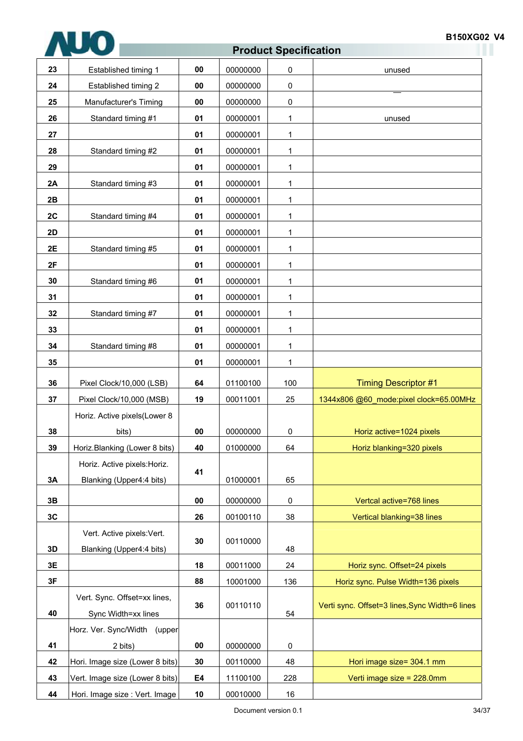| 23 | Established timing 1            | 00         | 00000000 | 0            | unused                                         |
|----|---------------------------------|------------|----------|--------------|------------------------------------------------|
| 24 | Established timing 2            | 00         | 00000000 | 0            |                                                |
| 25 | Manufacturer's Timing           | 00         | 00000000 | $\pmb{0}$    |                                                |
| 26 | Standard timing #1              | 01         | 00000001 | 1            | unused                                         |
| 27 |                                 | 01         | 00000001 | 1            |                                                |
| 28 | Standard timing #2              | 01         | 00000001 | 1            |                                                |
| 29 |                                 | 01         | 00000001 | 1            |                                                |
| 2A | Standard timing #3              | 01         | 00000001 | 1            |                                                |
| 2B |                                 | 01         | 00000001 | 1            |                                                |
| 2C | Standard timing #4              | 01         | 00000001 | 1            |                                                |
| 2D |                                 | 01         | 00000001 | 1            |                                                |
| 2E | Standard timing #5              | 01         | 00000001 | 1            |                                                |
| 2F |                                 | 01         | 00000001 | 1            |                                                |
| 30 | Standard timing #6              | 01         | 00000001 | 1            |                                                |
| 31 |                                 | 01         | 00000001 | 1            |                                                |
| 32 | Standard timing #7              | 01         | 00000001 | $\mathbf{1}$ |                                                |
| 33 |                                 | 01         | 00000001 | 1            |                                                |
| 34 | Standard timing #8              | 01         | 00000001 | 1            |                                                |
| 35 |                                 | 01         | 00000001 | 1            |                                                |
| 36 | Pixel Clock/10,000 (LSB)        | 64         | 01100100 | 100          | <b>Timing Descriptor #1</b>                    |
| 37 | Pixel Clock/10,000 (MSB)        | 19         | 00011001 | 25           | 1344x806 @60 mode:pixel clock=65.00MHz         |
|    | Horiz. Active pixels(Lower 8    |            |          |              |                                                |
| 38 | bits)                           | 00         | 00000000 | $\pmb{0}$    | Horiz active=1024 pixels                       |
| 39 | Horiz.Blanking (Lower 8 bits)   | 40         | 01000000 | 64           | Horiz blanking=320 pixels                      |
|    | Horiz. Active pixels: Horiz.    |            |          |              |                                                |
| 3A | Blanking (Upper4:4 bits)        | 41         | 01000001 | 65           |                                                |
| 3B |                                 | 00         | 00000000 | 0            | Vertcal active=768 lines                       |
| 3C |                                 | 26         | 00100110 | 38           | Vertical blanking=38 lines                     |
|    | Vert. Active pixels: Vert.      |            |          |              |                                                |
| 3D | Blanking (Upper4:4 bits)        | 30         | 00110000 | 48           |                                                |
| 3E |                                 | 18         | 00011000 | 24           | Horiz sync. Offset=24 pixels                   |
| 3F |                                 | 88         | 10001000 | 136          | Horiz sync. Pulse Width=136 pixels             |
|    | Vert. Sync. Offset=xx lines,    |            |          |              |                                                |
| 40 | Sync Width=xx lines             | 36         | 00110110 | 54           | Verti sync. Offset=3 lines, Sync Width=6 lines |
|    | Horz. Ver. Sync/Width (upper    |            |          |              |                                                |
| 41 | 2 bits)                         | ${\bf 00}$ | 00000000 | $\pmb{0}$    |                                                |
| 42 | Hori. Image size (Lower 8 bits) | 30         | 00110000 | 48           | Hori image size= 304.1 mm                      |
| 43 | Vert. Image size (Lower 8 bits) | E4         | 11100100 | 228          | Verti image size = 228.0mm                     |
|    | Hori. Image size : Vert. Image  | 10         | 00010000 | $16\,$       |                                                |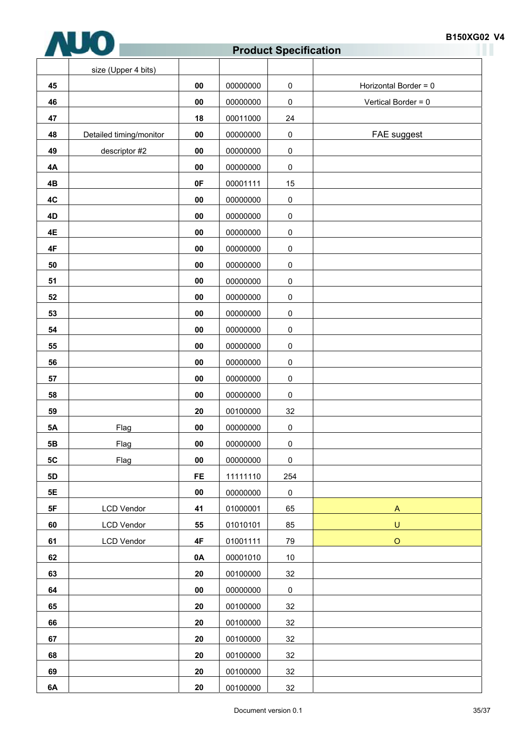

| <b>B150XG02 V4</b> |  |
|--------------------|--|
|--------------------|--|

|           | size (Upper 4 bits)     |            |          |                     |                       |
|-----------|-------------------------|------------|----------|---------------------|-----------------------|
| 45        |                         | ${\bf 00}$ | 00000000 | $\pmb{0}$           | Horizontal Border = 0 |
| 46        |                         | ${\bf 00}$ | 00000000 | $\pmb{0}$           | Vertical Border = 0   |
| 47        |                         | 18         | 00011000 | 24                  |                       |
| 48        | Detailed timing/monitor | ${\bf 00}$ | 00000000 | $\pmb{0}$           | FAE suggest           |
| 49        | descriptor #2           | ${\bf 00}$ | 00000000 | $\pmb{0}$           |                       |
| 4A        |                         | ${\bf 00}$ | 00000000 | $\mathsf{O}\xspace$ |                       |
| 4B        |                         | 0F         | 00001111 | 15                  |                       |
| 4C        |                         | ${\bf 00}$ | 00000000 | $\mathsf 0$         |                       |
| 4D        |                         | 00         | 00000000 | $\mathsf 0$         |                       |
| 4E        |                         | ${\bf 00}$ | 00000000 | $\mathsf 0$         |                       |
| 4F        |                         | ${\bf 00}$ | 00000000 | $\pmb{0}$           |                       |
| 50        |                         | 00         | 00000000 | $\pmb{0}$           |                       |
| 51        |                         | ${\bf 00}$ | 00000000 | $\pmb{0}$           |                       |
| 52        |                         | 00         | 00000000 | $\pmb{0}$           |                       |
| 53        |                         | ${\bf 00}$ | 00000000 | $\pmb{0}$           |                       |
| 54        |                         | ${\bf 00}$ | 00000000 | $\pmb{0}$           |                       |
| 55        |                         | 00         | 00000000 | $\mathsf 0$         |                       |
| 56        |                         | ${\bf 00}$ | 00000000 | $\pmb{0}$           |                       |
| 57        |                         | ${\bf 00}$ | 00000000 | $\mathbf 0$         |                       |
| 58        |                         | ${\bf 00}$ | 00000000 | 0                   |                       |
| 59        |                         | 20         | 00100000 | 32                  |                       |
| <b>5A</b> | Flag                    | ${\bf 00}$ | 00000000 | $\mathsf 0$         |                       |
| 5B        | Flag                    | 00         | 00000000 | 0                   |                       |
| <b>5C</b> | Flag                    | ${\bf 00}$ | 00000000 | $\pmb{0}$           |                       |
| <b>5D</b> |                         | <b>FE</b>  | 11111110 | 254                 |                       |
| 5E        |                         | ${\bf 00}$ | 00000000 | $\pmb{0}$           |                       |
| 5F        | <b>LCD Vendor</b>       | 41         | 01000001 | 65                  | $\mathsf{A}$          |
| 60        | <b>LCD Vendor</b>       | 55         | 01010101 | 85                  | $\sf U$               |
| 61        | <b>LCD Vendor</b>       | 4F         | 01001111 | 79                  | $\circ$               |
| 62        |                         | 0A         | 00001010 | $10$                |                       |
| 63        |                         | ${\bf 20}$ | 00100000 | 32                  |                       |
| 64        |                         | ${\bf 00}$ | 00000000 | $\pmb{0}$           |                       |
| 65        |                         | 20         | 00100000 | 32                  |                       |
| 66        |                         | 20         | 00100000 | 32                  |                       |
| 67        |                         | ${\bf 20}$ | 00100000 | 32                  |                       |
| 68        |                         | ${\bf 20}$ | 00100000 | 32                  |                       |
| 69        |                         | ${\bf 20}$ | 00100000 | 32                  |                       |
| 6A        |                         | 20         | 00100000 | 32                  |                       |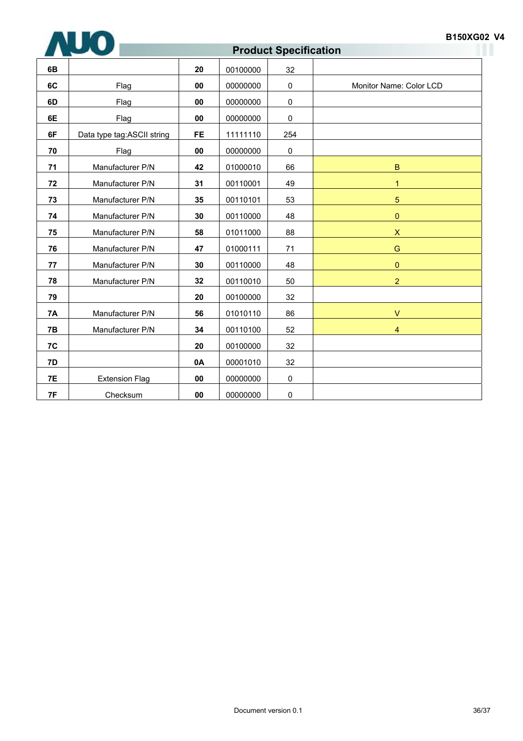

#### **B150XG02 V4**

## **Product Specification**

| 6B        |                            | 20        | 00100000 | 32          |                         |
|-----------|----------------------------|-----------|----------|-------------|-------------------------|
| 6C        | Flag                       | 00        | 00000000 | $\pmb{0}$   | Monitor Name: Color LCD |
| 6D        | Flag                       | 00        | 00000000 | $\mathbf 0$ |                         |
| 6E        | Flag                       | 00        | 00000000 | $\mathbf 0$ |                         |
| 6F        | Data type tag:ASCII string | <b>FE</b> | 11111110 | 254         |                         |
| 70        | Flag                       | 00        | 00000000 | $\mathbf 0$ |                         |
| 71        | Manufacturer P/N           | 42        | 01000010 | 66          | $\mathbf B$             |
| 72        | Manufacturer P/N           | 31        | 00110001 | 49          | $\mathbf{1}$            |
| 73        | Manufacturer P/N           | 35        | 00110101 | 53          | 5                       |
| 74        | Manufacturer P/N           | 30        | 00110000 | 48          | $\pmb{0}$               |
| 75        | Manufacturer P/N           | 58        | 01011000 | 88          | $\mathsf{X}$            |
| 76        | Manufacturer P/N           | 47        | 01000111 | 71          | G                       |
| 77        | Manufacturer P/N           | 30        | 00110000 | 48          | $\mathbf{0}$            |
| 78        | Manufacturer P/N           | 32        | 00110010 | 50          | $\overline{2}$          |
| 79        |                            | 20        | 00100000 | 32          |                         |
| <b>7A</b> | Manufacturer P/N           | 56        | 01010110 | 86          | $\vee$                  |
| 7B        | Manufacturer P/N           | 34        | 00110100 | 52          | 4                       |
| 7C        |                            | 20        | 00100000 | 32          |                         |
| 7D        |                            | 0A        | 00001010 | 32          |                         |
| <b>7E</b> | <b>Extension Flag</b>      | 00        | 00000000 | 0           |                         |
| 7F        | Checksum                   | 00        | 00000000 | 0           |                         |